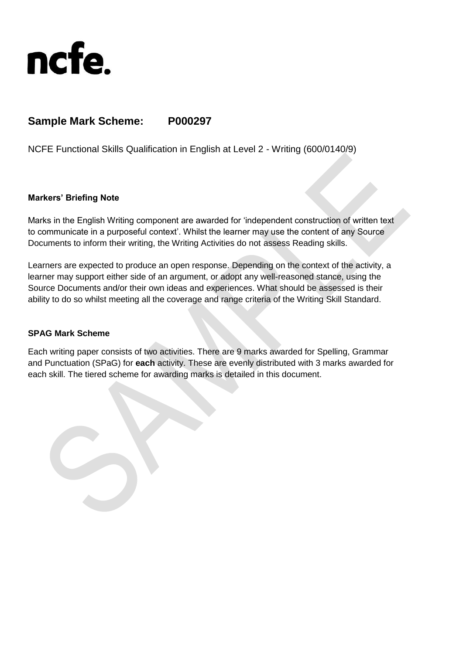

# **Sample Mark Scheme: P000297**

NCFE Functional Skills Qualification in English at Level 2 - Writing (600/0140/9)

#### **Markers' Briefing Note**

Marks in the English Writing component are awarded for 'independent construction of written text to communicate in a purposeful context'. Whilst the learner may use the content of any Source Documents to inform their writing, the Writing Activities do not assess Reading skills.

Learners are expected to produce an open response. Depending on the context of the activity, a learner may support either side of an argument, or adopt any well-reasoned stance, using the Source Documents and/or their own ideas and experiences. What should be assessed is their ability to do so whilst meeting all the coverage and range criteria of the Writing Skill Standard.

#### **SPAG Mark Scheme**

Each writing paper consists of two activities. There are 9 marks awarded for Spelling, Grammar and Punctuation (SPaG) for **each** activity. These are evenly distributed with 3 marks awarded for each skill. The tiered scheme for awarding marks is detailed in this document.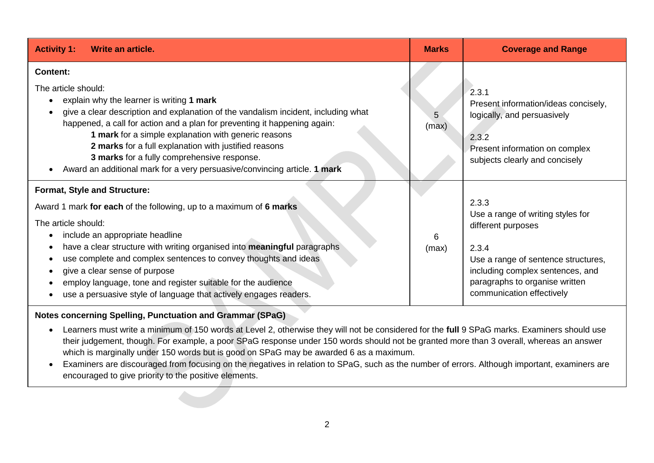| <b>Activity 1:</b><br>Write an article.                                                                                                                                                                                                                                                                                                                                                                                                                                                                                                    | <b>Marks</b> | <b>Coverage and Range</b>                                                                                                                                                                                           |  |
|--------------------------------------------------------------------------------------------------------------------------------------------------------------------------------------------------------------------------------------------------------------------------------------------------------------------------------------------------------------------------------------------------------------------------------------------------------------------------------------------------------------------------------------------|--------------|---------------------------------------------------------------------------------------------------------------------------------------------------------------------------------------------------------------------|--|
| <b>Content:</b><br>The article should:<br>explain why the learner is writing 1 mark<br>$\bullet$<br>give a clear description and explanation of the vandalism incident, including what<br>$\bullet$<br>happened, a call for action and a plan for preventing it happening again:<br>1 mark for a simple explanation with generic reasons<br>2 marks for a full explanation with justified reasons<br>3 marks for a fully comprehensive response.<br>Award an additional mark for a very persuasive/convincing article. 1 mark<br>$\bullet$ |              | 2.3.1<br>Present information/ideas concisely,<br>logically, and persuasively<br>2.3.2<br>Present information on complex<br>subjects clearly and concisely                                                           |  |
| Format, Style and Structure:<br>Award 1 mark for each of the following, up to a maximum of 6 marks<br>The article should:<br>include an appropriate headline<br>$\bullet$<br>have a clear structure with writing organised into meaningful paragraphs<br>use complete and complex sentences to convey thoughts and ideas<br>$\bullet$<br>give a clear sense of purpose<br>٠<br>employ language, tone and register suitable for the audience<br>use a persuasive style of language that actively engages readers.                           |              | 2.3.3<br>Use a range of writing styles for<br>different purposes<br>2.3.4<br>Use a range of sentence structures,<br>including complex sentences, and<br>paragraphs to organise written<br>communication effectively |  |

### **Notes concerning Spelling, Punctuation and Grammar (SPaG)**

- Learners must write a minimum of 150 words at Level 2, otherwise they will not be considered for the **full** 9 SPaG marks. Examiners should use their judgement, though. For example, a poor SPaG response under 150 words should not be granted more than 3 overall, whereas an answer which is marginally under 150 words but is good on SPaG may be awarded 6 as a maximum.
- Examiners are discouraged from focusing on the negatives in relation to SPaG, such as the number of errors. Although important, examiners are encouraged to give priority to the positive elements.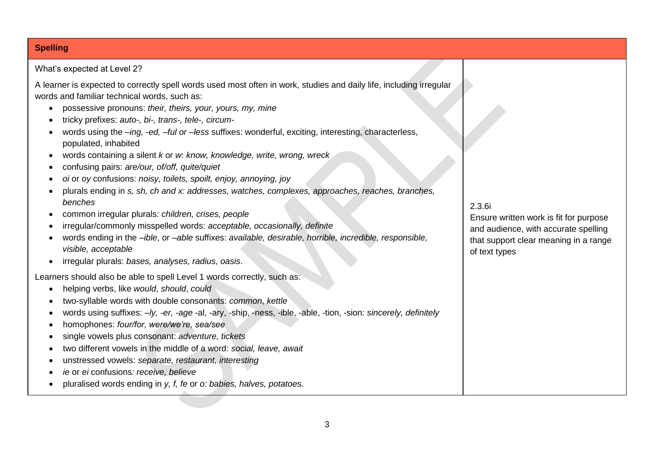## **Spelling**

What's expected at Level 2?

A learner is expected to correctly spell words used most often in work, studies and daily life, including irregular words and familiar technical words, such as:

- possessive pronouns: *their, theirs, your, yours, my, mine*
- tricky prefixes: *auto-, bi-, trans-, tele-, circum-*
- words using the *–ing, -ed, –ful or –less* suffixes: wonderful, exciting, interesting, characterless, populated, inhabited
- words containing a silent *k* or *w*: *know, knowledge, write, wrong, wreck*
- confusing pairs: *are/our, of/off, quite/quiet*
- *oi* or *oy* confusions: *noisy, toilets, spoilt, enjoy, annoying, joy*
- plurals ending in *s, sh, ch and x: addresses, watches, complexes, approaches, reaches, branches, benches*
- common irregular plurals: *children, crises, people*
- irregular/commonly misspelled words: *acceptable, occasionally, definite*
- words ending in the *–ible*, or *–able* suffixes: *available, desirable, horrible, incredible, responsible, visible, acceptable*
- irregular plurals: *bases, analyses, radius, oasis*.

Learners should also be able to spell Level 1 words correctly, such as:

- helping verbs, like *would*, *should*, *could*
- two-syllable words with double consonants: *common*, *kettle*
- words using suffixes: *–ly, -er, -age* -al, -ary, -ship, -ness, -ible, -able, -tion, -sion: *sincerely, definitely*
- homophones: *four/for, were/we're, sea/see*
- single vowels plus consonant: *adventure, tickets*
- two different vowels in the middle of a word: *social, leave, await*
- unstressed vowels: *separate, restaurant, interesting*
- *ie* or *ei* confusions*: receive, believe*
- pluralised words ending in *y, f, fe* or *o: babies, halves, potatoes.*

2.3.6i

Ensure written work is fit for purpose and audience, with accurate spelling that support clear meaning in a range of text types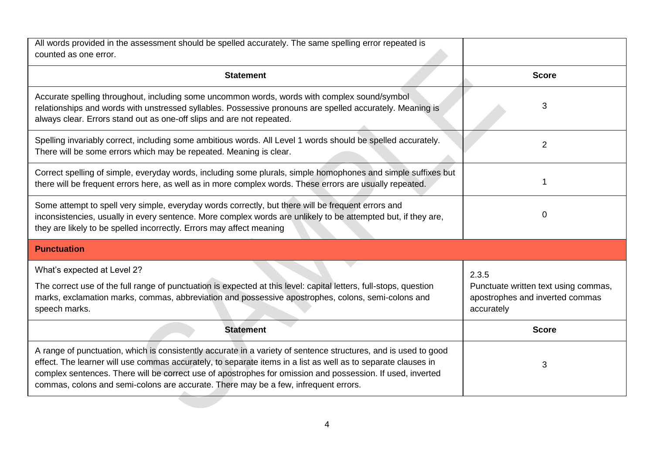| All words provided in the assessment should be spelled accurately. The same spelling error repeated is<br>counted as one error.                                                                                                                                                                                                                                                                                                       |                                                                                                |  |
|---------------------------------------------------------------------------------------------------------------------------------------------------------------------------------------------------------------------------------------------------------------------------------------------------------------------------------------------------------------------------------------------------------------------------------------|------------------------------------------------------------------------------------------------|--|
| <b>Statement</b>                                                                                                                                                                                                                                                                                                                                                                                                                      | <b>Score</b>                                                                                   |  |
| Accurate spelling throughout, including some uncommon words, words with complex sound/symbol<br>relationships and words with unstressed syllables. Possessive pronouns are spelled accurately. Meaning is<br>always clear. Errors stand out as one-off slips and are not repeated.                                                                                                                                                    | 3                                                                                              |  |
| Spelling invariably correct, including some ambitious words. All Level 1 words should be spelled accurately.<br>There will be some errors which may be repeated. Meaning is clear.                                                                                                                                                                                                                                                    | $\overline{2}$                                                                                 |  |
| Correct spelling of simple, everyday words, including some plurals, simple homophones and simple suffixes but<br>there will be frequent errors here, as well as in more complex words. These errors are usually repeated.                                                                                                                                                                                                             |                                                                                                |  |
| Some attempt to spell very simple, everyday words correctly, but there will be frequent errors and<br>inconsistencies, usually in every sentence. More complex words are unlikely to be attempted but, if they are,<br>they are likely to be spelled incorrectly. Errors may affect meaning                                                                                                                                           | 0                                                                                              |  |
| <b>Punctuation</b>                                                                                                                                                                                                                                                                                                                                                                                                                    |                                                                                                |  |
| What's expected at Level 2?<br>The correct use of the full range of punctuation is expected at this level: capital letters, full-stops, question<br>marks, exclamation marks, commas, abbreviation and possessive apostrophes, colons, semi-colons and<br>speech marks.                                                                                                                                                               | 2.3.5<br>Punctuate written text using commas,<br>apostrophes and inverted commas<br>accurately |  |
| <b>Statement</b>                                                                                                                                                                                                                                                                                                                                                                                                                      | <b>Score</b>                                                                                   |  |
| A range of punctuation, which is consistently accurate in a variety of sentence structures, and is used to good<br>effect. The learner will use commas accurately, to separate items in a list as well as to separate clauses in<br>complex sentences. There will be correct use of apostrophes for omission and possession. If used, inverted<br>commas, colons and semi-colons are accurate. There may be a few, infrequent errors. | 3                                                                                              |  |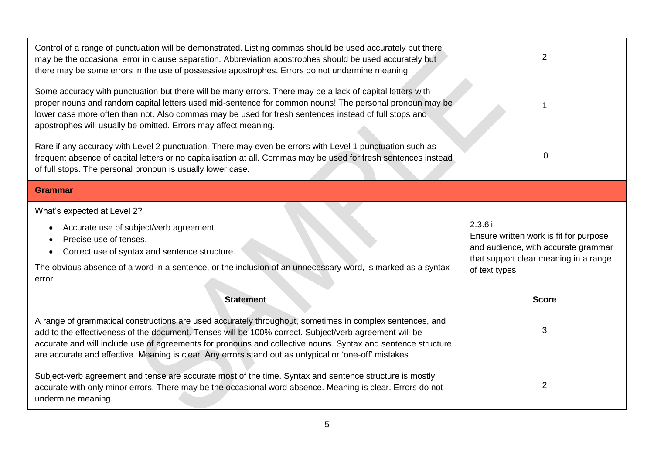| Control of a range of punctuation will be demonstrated. Listing commas should be used accurately but there<br>may be the occasional error in clause separation. Abbreviation apostrophes should be used accurately but<br>there may be some errors in the use of possessive apostrophes. Errors do not undermine meaning.                                                                                                                   | 2                                                                                                                                                  |  |  |
|---------------------------------------------------------------------------------------------------------------------------------------------------------------------------------------------------------------------------------------------------------------------------------------------------------------------------------------------------------------------------------------------------------------------------------------------|----------------------------------------------------------------------------------------------------------------------------------------------------|--|--|
| Some accuracy with punctuation but there will be many errors. There may be a lack of capital letters with<br>proper nouns and random capital letters used mid-sentence for common nouns! The personal pronoun may be<br>lower case more often than not. Also commas may be used for fresh sentences instead of full stops and<br>apostrophes will usually be omitted. Errors may affect meaning.                                            |                                                                                                                                                    |  |  |
| Rare if any accuracy with Level 2 punctuation. There may even be errors with Level 1 punctuation such as<br>frequent absence of capital letters or no capitalisation at all. Commas may be used for fresh sentences instead<br>of full stops. The personal pronoun is usually lower case.                                                                                                                                                   | $\Omega$                                                                                                                                           |  |  |
| <b>Grammar</b>                                                                                                                                                                                                                                                                                                                                                                                                                              |                                                                                                                                                    |  |  |
| What's expected at Level 2?<br>Accurate use of subject/verb agreement.<br>$\bullet$<br>Precise use of tenses.<br>Correct use of syntax and sentence structure.<br>The obvious absence of a word in a sentence, or the inclusion of an unnecessary word, is marked as a syntax<br>error.                                                                                                                                                     | 2.3.6ii<br>Ensure written work is fit for purpose<br>and audience, with accurate grammar<br>that support clear meaning in a range<br>of text types |  |  |
| <b>Statement</b>                                                                                                                                                                                                                                                                                                                                                                                                                            | <b>Score</b>                                                                                                                                       |  |  |
| A range of grammatical constructions are used accurately throughout, sometimes in complex sentences, and<br>add to the effectiveness of the document. Tenses will be 100% correct. Subject/verb agreement will be<br>accurate and will include use of agreements for pronouns and collective nouns. Syntax and sentence structure<br>are accurate and effective. Meaning is clear. Any errors stand out as untypical or 'one-off' mistakes. | 3                                                                                                                                                  |  |  |
| Subject-verb agreement and tense are accurate most of the time. Syntax and sentence structure is mostly<br>accurate with only minor errors. There may be the occasional word absence. Meaning is clear. Errors do not<br>undermine meaning.                                                                                                                                                                                                 | 2                                                                                                                                                  |  |  |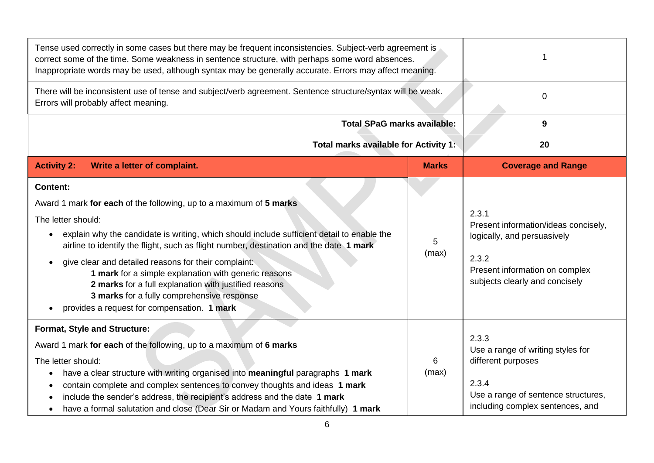| Tense used correctly in some cases but there may be frequent inconsistencies. Subject-verb agreement is<br>correct some of the time. Some weakness in sentence structure, with perhaps some word absences.<br>Inappropriate words may be used, although syntax may be generally accurate. Errors may affect meaning.                                                                                                                                                                                                                                                      |              |                                                                                                                                                           |  |
|---------------------------------------------------------------------------------------------------------------------------------------------------------------------------------------------------------------------------------------------------------------------------------------------------------------------------------------------------------------------------------------------------------------------------------------------------------------------------------------------------------------------------------------------------------------------------|--------------|-----------------------------------------------------------------------------------------------------------------------------------------------------------|--|
| There will be inconsistent use of tense and subject/verb agreement. Sentence structure/syntax will be weak.<br>Errors will probably affect meaning.                                                                                                                                                                                                                                                                                                                                                                                                                       |              | $\mathbf 0$                                                                                                                                               |  |
| <b>Total SPaG marks available:</b>                                                                                                                                                                                                                                                                                                                                                                                                                                                                                                                                        |              | 9                                                                                                                                                         |  |
| Total marks available for Activity 1:                                                                                                                                                                                                                                                                                                                                                                                                                                                                                                                                     | 20           |                                                                                                                                                           |  |
| <b>Activity 2:</b><br>Write a letter of complaint.                                                                                                                                                                                                                                                                                                                                                                                                                                                                                                                        | <b>Marks</b> | <b>Coverage and Range</b>                                                                                                                                 |  |
| <b>Content:</b><br>Award 1 mark for each of the following, up to a maximum of 5 marks<br>The letter should:<br>explain why the candidate is writing, which should include sufficient detail to enable the<br>airline to identify the flight, such as flight number, destination and the date 1 mark<br>give clear and detailed reasons for their complaint:<br>1 mark for a simple explanation with generic reasons<br>2 marks for a full explanation with justified reasons<br>3 marks for a fully comprehensive response<br>provides a request for compensation. 1 mark | 5<br>(max)   | 2.3.1<br>Present information/ideas concisely,<br>logically, and persuasively<br>2.3.2<br>Present information on complex<br>subjects clearly and concisely |  |
| Format, Style and Structure:<br>Award 1 mark for each of the following, up to a maximum of 6 marks<br>The letter should:<br>have a clear structure with writing organised into meaningful paragraphs 1 mark<br>contain complete and complex sentences to convey thoughts and ideas 1 mark<br>٠<br>include the sender's address, the recipient's address and the date 1 mark<br>have a formal salutation and close (Dear Sir or Madam and Yours faithfully) 1 mark                                                                                                         | 6<br>(max)   | 2.3.3<br>Use a range of writing styles for<br>different purposes<br>2.3.4<br>Use a range of sentence structures,<br>including complex sentences, and      |  |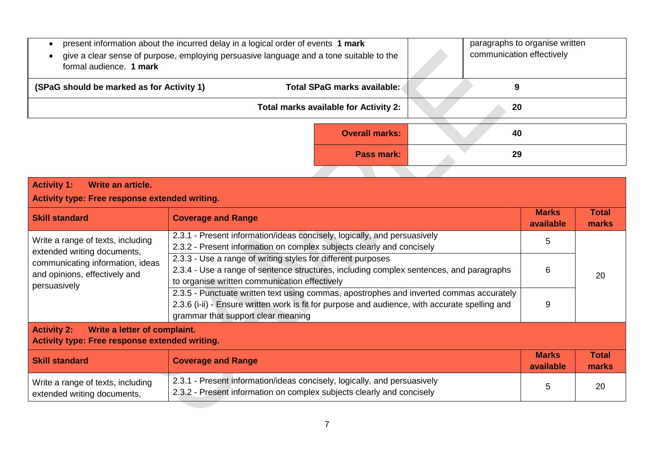| present information about the incurred delay in a logical order of events 1 mark<br>give a clear sense of purpose, employing persuasive language and a tone suitable to the<br>formal audience. 1 mark |                                       | paragraphs to organise written<br>communication effectively |
|--------------------------------------------------------------------------------------------------------------------------------------------------------------------------------------------------------|---------------------------------------|-------------------------------------------------------------|
| (SPaG should be marked as for Activity 1)                                                                                                                                                              | Total SPaG marks available:           | 9                                                           |
|                                                                                                                                                                                                        | Total marks available for Activity 2: | 20                                                          |
|                                                                                                                                                                                                        | <b>Overall marks:</b>                 | 40                                                          |
|                                                                                                                                                                                                        | <b>Pass mark:</b>                     | 29                                                          |
|                                                                                                                                                                                                        |                                       |                                                             |
| <b>Activity 1:</b><br>Write an article.                                                                                                                                                                |                                       |                                                             |

| Activity type: Free response extended writing.                                                       |                                                                                                                                                                                                                                 |                           |                       |  |
|------------------------------------------------------------------------------------------------------|---------------------------------------------------------------------------------------------------------------------------------------------------------------------------------------------------------------------------------|---------------------------|-----------------------|--|
| <b>Skill standard</b>                                                                                | <b>Coverage and Range</b>                                                                                                                                                                                                       | <b>Marks</b><br>available | Total<br>marks        |  |
| Write a range of texts, including<br>extended writing documents,                                     | 2.3.1 - Present information/ideas concisely, logically, and persuasively<br>2.3.2 - Present information on complex subjects clearly and concisely                                                                               | 5                         |                       |  |
| communicating information, ideas<br>and opinions, effectively and<br>persuasively                    | 2.3.3 - Use a range of writing styles for different purposes<br>2.3.4 - Use a range of sentence structures, including complex sentences, and paragraphs<br>to organise written communication effectively                        | 6<br>20<br>9              |                       |  |
|                                                                                                      | 2.3.5 - Punctuate written text using commas, apostrophes and inverted commas accurately<br>2.3.6 (i-ii) - Ensure written work is fit for purpose and audience, with accurate spelling and<br>grammar that support clear meaning |                           |                       |  |
| <b>Activity 2:</b><br>Write a letter of complaint.<br>Activity type: Free response extended writing. |                                                                                                                                                                                                                                 |                           |                       |  |
| <b>Skill standard</b>                                                                                | <b>Coverage and Range</b>                                                                                                                                                                                                       | <b>Marks</b><br>available | <b>Total</b><br>marks |  |
| Write a range of texts, including<br>extended writing documents,                                     | 2.3.1 - Present information/ideas concisely, logically, and persuasively<br>2.3.2 - Present information on complex subjects clearly and concisely                                                                               | 5                         | 20                    |  |